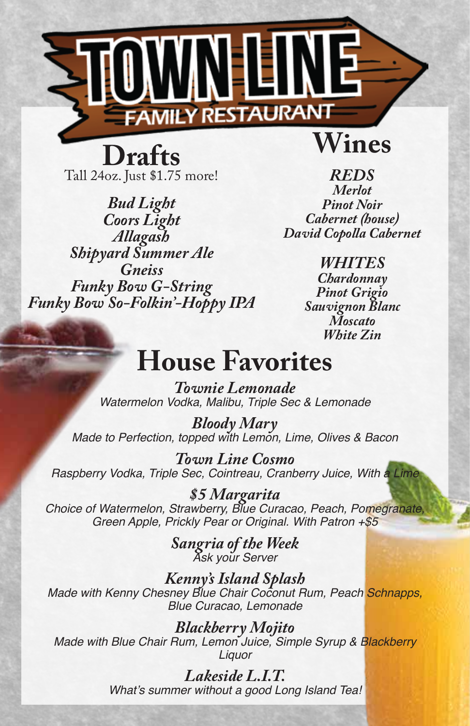

**Drafts** Tall 24oz. Just \$1.75 more!

*Bud Light Coors Light Allagash Shipyard Summer Ale Gneiss Funky Bow G-String Funky Bow So-Folkin'-Hoppy IPA*

*REDS Merlot Pinot Noir Cabernet (house) David Copolla Cabernet*

> *WHITES Chardonnay Pinot Grigio Sauvignon Blanc Moscato White Zin*

### **House Favorites**

*Townie Lemonade Watermelon Vodka, Malibu, Triple Sec & Lemonade*

*Bloody Mary Made to Perfection, topped with Lemon, Lime, Olives & Bacon*

*Town Line Cosmo Raspberry Vodka, Triple Sec, Cointreau, Cranberry Juice, With a Lime*

*\$5 Margarita Choice of Watermelon, Strawberry, Blue Curacao, Peach, Pomegranate, Green Apple, Prickly Pear or Original. With Patron +\$5*

*Sangria of the Week Ask your Server*

*Kenny's Island Splash Made with Kenny Chesney Blue Chair Coconut Rum, Peach Schnapps, Blue Curacao, Lemonade*

*Blackberry Mojito Made with Blue Chair Rum, Lemon Juice, Simple Syrup & Blackberry Liquor*

> *Lakeside L.I.T.* What's summer without a good Long Island Tea!